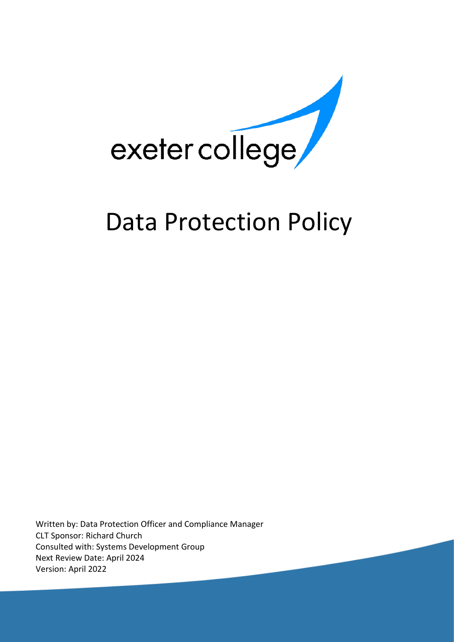

# Data Protection Policy

Written by: Data Protection Officer and Compliance Manager CLT Sponsor: Richard Church Consulted with: Systems Development Group Next Review Date: April 2024 Version: April 2022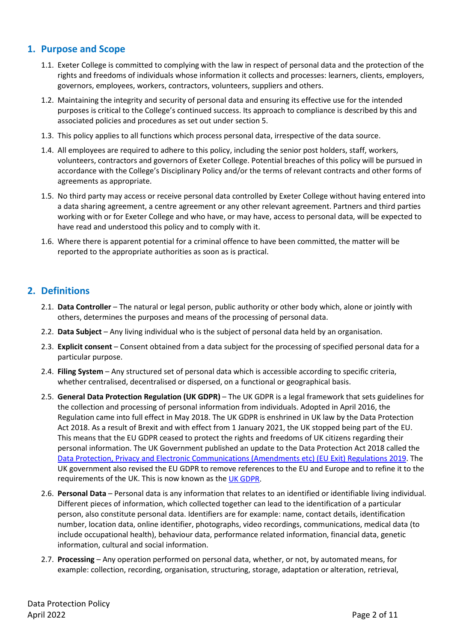# **1. Purpose and Scope**

- 1.1. Exeter College is committed to complying with the law in respect of personal data and the protection of the rights and freedoms of individuals whose information it collects and processes: learners, clients, employers, governors, employees, workers, contractors, volunteers, suppliers and others.
- 1.2. Maintaining the integrity and security of personal data and ensuring its effective use for the intended purposes is critical to the College's continued success. Its approach to compliance is described by this and associated policies and procedures as set out under section 5.
- 1.3. This policy applies to all functions which process personal data, irrespective of the data source.
- 1.4. All employees are required to adhere to this policy, including the senior post holders, staff, workers, volunteers, contractors and governors of Exeter College. Potential breaches of this policy will be pursued in accordance with the College's Disciplinary Policy and/or the terms of relevant contracts and other forms of agreements as appropriate.
- 1.5. No third party may access or receive personal data controlled by Exeter College without having entered into a data sharing agreement, a centre agreement or any other relevant agreement. Partners and third parties working with or for Exeter College and who have, or may have, access to personal data, will be expected to have read and understood this policy and to comply with it.
- 1.6. Where there is apparent potential for a criminal offence to have been committed, the matter will be reported to the appropriate authorities as soon as is practical.

# **2. Definitions**

- 2.1. **Data Controller** The natural or legal person, public authority or other body which, alone or jointly with others, determines the purposes and means of the processing of personal data.
- 2.2. **Data Subject** Any living individual who is the subject of personal data held by an organisation.
- 2.3. **Explicit consent** Consent obtained from a data subject for the processing of specified personal data for a particular purpose.
- 2.4. **Filing System**  Any structured set of personal data which is accessible according to specific criteria, whether centralised, decentralised or dispersed, on a functional or geographical basis.
- 2.5. **General Data Protection Regulation (UK GDPR)** The UK GDPR is a legal framework that sets guidelines for the collection and processing of personal information from individuals. Adopted in April 2016, the Regulation came into full effect in May 2018. The UK GDPR is enshrined in UK law by the Data Protection Act 2018. As a result of Brexit and with effect from 1 January 2021, the UK stopped being part of the EU. This means that the EU GDPR ceased to protect the rights and freedoms of UK citizens regarding their personal information. The UK Government published an update to the Data Protection Act 2018 called the Data Protection, Privacy and Electronic [Communications \(Amendments etc\) \(EU Exit\) Regulations 2019.](https://www.legislation.gov.uk/uksi/2019/419/made) The UK government also revised the EU GDPR to remove references to the EU and Europe and to refine it to the requirements of the UK. This is now known as the [UK GDPR.](https://ico.org.uk/for-organisations/guide-to-data-protection/guide-to-the-general-data-protection-regulation-gdpr/)
- 2.6. **Personal Data** Personal data is any information that relates to an identified or identifiable living individual. Different pieces of information, which collected together can lead to the identification of a particular person, also constitute personal data. Identifiers are for example: name, contact details, identification number, location data, online identifier, photographs, video recordings, communications, medical data (to include occupational health), behaviour data, performance related information, financial data, genetic information, cultural and social information.
- 2.7. **Processing** Any operation performed on personal data, whether, or not, by automated means, for example: collection, recording, organisation, structuring, storage, adaptation or alteration, retrieval,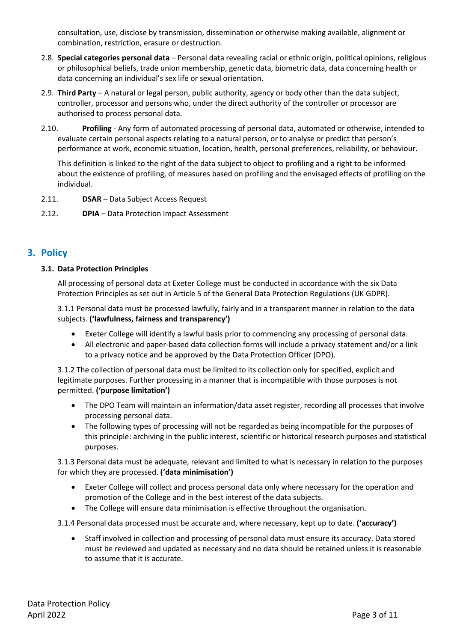consultation, use, disclose by transmission, dissemination or otherwise making available, alignment or combination, restriction, erasure or destruction.

- 2.8. **Special categories personal data** Personal data revealing racial or ethnic origin, political opinions, religious or philosophical beliefs, trade union membership, genetic data, biometric data, data concerning health or data concerning an individual's sex life or sexual orientation.
- 2.9. **Third Party** A natural or legal person, public authority, agency or body other than the data subject, controller, processor and persons who, under the direct authority of the controller or processor are authorised to process personal data.
- 2.10. **Profiling** Any form of automated processing of personal data, automated or otherwise, intended to evaluate certain personal aspects relating to a natural person, or to analyse or predict that person's performance at work, economic situation, location, health, personal preferences, reliability, or behaviour.

This definition is linked to the right of the data subject to object to profiling and a right to be informed about the existence of profiling, of measures based on profiling and the envisaged effects of profiling on the individual.

2.11. **DSAR** – Data Subject Access Request

2.12. **DPIA** – Data Protection Impact Assessment

# **3. Policy**

# **3.1. Data Protection Principles**

All processing of personal data at Exeter College must be conducted in accordance with the six Data Protection Principles as set out in Article 5 of the General Data Protection Regulations (UK GDPR).

3.1.1 Personal data must be processed lawfully, fairly and in a transparent manner in relation to the data subjects. **('lawfulness, fairness and transparency')**

- Exeter College will identify a lawful basis prior to commencing any processing of personal data.
- All electronic and paper-based data collection forms will include a privacy statement and/or a link to a privacy notice and be approved by the Data Protection Officer (DPO).

3.1.2 The collection of personal data must be limited to its collection only for specified, explicit and legitimate purposes. Further processing in a manner that is incompatible with those purposes is not permitted. **('purpose limitation')**

- The DPO Team will maintain an information/data asset register, recording all processes that involve processing personal data.
- The following types of processing will not be regarded as being incompatible for the purposes of this principle: archiving in the public interest, scientific or historical research purposes and statistical purposes.

3.1.3 Personal data must be adequate, relevant and limited to what is necessary in relation to the purposes for which they are processed. **('data minimisation')**

- Exeter College will collect and process personal data only where necessary for the operation and promotion of the College and in the best interest of the data subjects.
- The College will ensure data minimisation is effective throughout the organisation.

3.1.4 Personal data processed must be accurate and, where necessary, kept up to date. **('accuracy')**

• Staff involved in collection and processing of personal data must ensure its accuracy. Data stored must be reviewed and updated as necessary and no data should be retained unless it is reasonable to assume that it is accurate.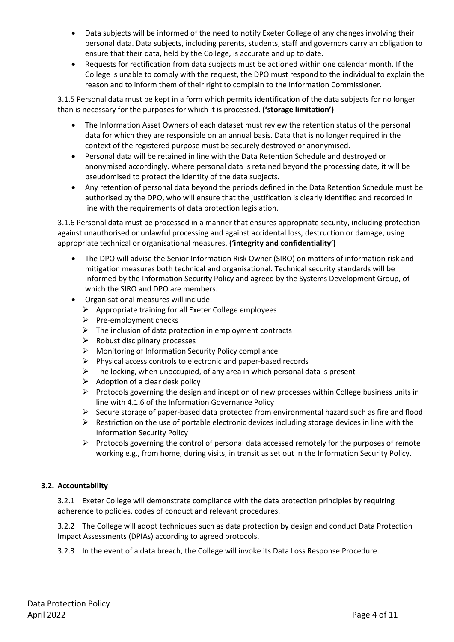- Data subjects will be informed of the need to notify Exeter College of any changes involving their personal data. Data subjects, including parents, students, staff and governors carry an obligation to ensure that their data, held by the College, is accurate and up to date.
- Requests for rectification from data subjects must be actioned within one calendar month. If the College is unable to comply with the request, the DPO must respond to the individual to explain the reason and to inform them of their right to complain to the Information Commissioner.

3.1.5 Personal data must be kept in a form which permits identification of the data subjects for no longer than is necessary for the purposes for which it is processed. **('storage limitation')**

- The Information Asset Owners of each dataset must review the retention status of the personal data for which they are responsible on an annual basis. Data that is no longer required in the context of the registered purpose must be securely destroyed or anonymised.
- Personal data will be retained in line with the Data Retention Schedule and destroyed or anonymised accordingly. Where personal data is retained beyond the processing date, it will be pseudomised to protect the identity of the data subjects.
- Any retention of personal data beyond the periods defined in the Data Retention Schedule must be authorised by the DPO, who will ensure that the justification is clearly identified and recorded in line with the requirements of data protection legislation.

3.1.6 Personal data must be processed in a manner that ensures appropriate security, including protection against unauthorised or unlawful processing and against accidental loss, destruction or damage, using appropriate technical or organisational measures. **('integrity and confidentiality')**

- The DPO will advise the Senior Information Risk Owner (SIRO) on matters of information risk and mitigation measures both technical and organisational. Technical security standards will be informed by the Information Security Policy and agreed by the Systems Development Group, of which the SIRO and DPO are members.
- Organisational measures will include:
	- $\triangleright$  Appropriate training for all Exeter College employees
	- $\triangleright$  Pre-employment checks
	- $\triangleright$  The inclusion of data protection in employment contracts
	- $\triangleright$  Robust disciplinary processes
	- $\triangleright$  Monitoring of Information Security Policy compliance
	- $\triangleright$  Physical access controls to electronic and paper-based records
	- $\triangleright$  The locking, when unoccupied, of any area in which personal data is present
	- $\triangleright$  Adoption of a clear desk policy
	- $\triangleright$  Protocols governing the design and inception of new processes within College business units in line with 4.1.6 of the Information Governance Policy
	- $\triangleright$  Secure storage of paper-based data protected from environmental hazard such as fire and flood
	- $\triangleright$  Restriction on the use of portable electronic devices including storage devices in line with the Information Security Policy
	- $\triangleright$  Protocols governing the control of personal data accessed remotely for the purposes of remote working e.g., from home, during visits, in transit as set out in the Information Security Policy.

# **3.2. Accountability**

3.2.1 Exeter College will demonstrate compliance with the data protection principles by requiring adherence to policies, codes of conduct and relevant procedures.

3.2.2 The College will adopt techniques such as data protection by design and conduct Data Protection Impact Assessments (DPIAs) according to agreed protocols.

3.2.3 In the event of a data breach, the College will invoke its Data Loss Response Procedure.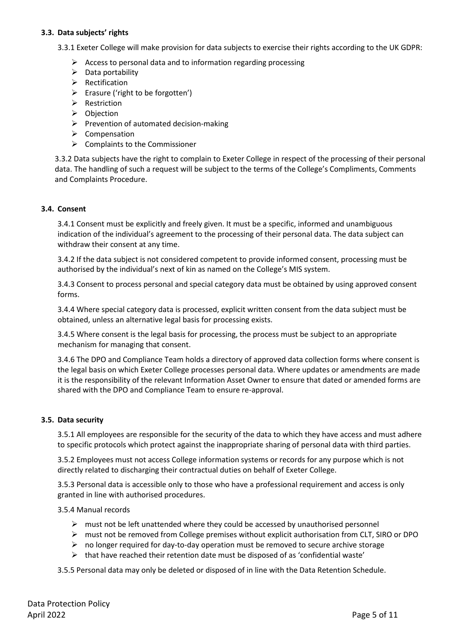#### **3.3. Data subjects' rights**

3.3.1 Exeter College will make provision for data subjects to exercise their rights according to the UK GDPR:

- $\triangleright$  Access to personal data and to information regarding processing
- $\triangleright$  Data portability
- $\triangleright$  Rectification
- $\triangleright$  Erasure ('right to be forgotten')
- $\triangleright$  Restriction
- $\triangleright$  Objection
- $\triangleright$  Prevention of automated decision-making
- $\triangleright$  Compensation
- $\triangleright$  Complaints to the Commissioner

3.3.2 Data subjects have the right to complain to Exeter College in respect of the processing of their personal data. The handling of such a request will be subject to the terms of the College's Compliments, Comments and Complaints Procedure.

#### **3.4. Consent**

3.4.1 Consent must be explicitly and freely given. It must be a specific, informed and unambiguous indication of the individual's agreement to the processing of their personal data. The data subject can withdraw their consent at any time.

3.4.2 If the data subject is not considered competent to provide informed consent, processing must be authorised by the individual's next of kin as named on the College's MIS system.

3.4.3 Consent to process personal and special category data must be obtained by using approved consent forms.

3.4.4 Where special category data is processed, explicit written consent from the data subject must be obtained, unless an alternative legal basis for processing exists.

3.4.5 Where consent is the legal basis for processing, the process must be subject to an appropriate mechanism for managing that consent.

3.4.6 The DPO and Compliance Team holds a directory of approved data collection forms where consent is the legal basis on which Exeter College processes personal data. Where updates or amendments are made it is the responsibility of the relevant Information Asset Owner to ensure that dated or amended forms are shared with the DPO and Compliance Team to ensure re-approval.

#### **3.5. Data security**

3.5.1 All employees are responsible for the security of the data to which they have access and must adhere to specific protocols which protect against the inappropriate sharing of personal data with third parties.

3.5.2 Employees must not access College information systems or records for any purpose which is not directly related to discharging their contractual duties on behalf of Exeter College.

3.5.3 Personal data is accessible only to those who have a professional requirement and access is only granted in line with authorised procedures.

3.5.4 Manual records

- $\triangleright$  must not be left unattended where they could be accessed by unauthorised personnel
- $\triangleright$  must not be removed from College premises without explicit authorisation from CLT, SIRO or DPO
- $\triangleright$  no longer required for day-to-day operation must be removed to secure archive storage
- $\triangleright$  that have reached their retention date must be disposed of as 'confidential waste'

3.5.5 Personal data may only be deleted or disposed of in line with the Data Retention Schedule.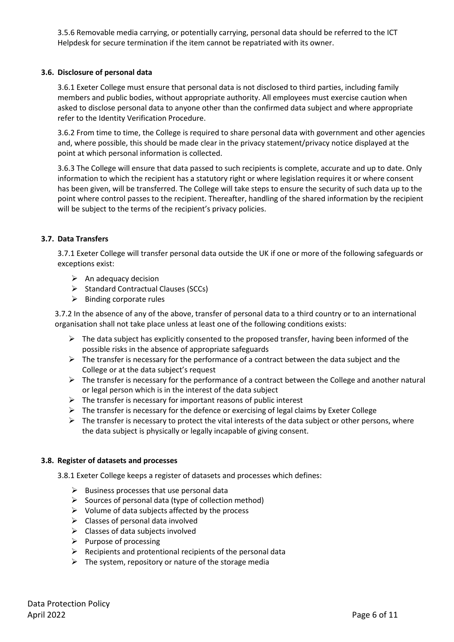3.5.6 Removable media carrying, or potentially carrying, personal data should be referred to the ICT Helpdesk for secure termination if the item cannot be repatriated with its owner.

## **3.6. Disclosure of personal data**

3.6.1 Exeter College must ensure that personal data is not disclosed to third parties, including family members and public bodies, without appropriate authority. All employees must exercise caution when asked to disclose personal data to anyone other than the confirmed data subject and where appropriate refer to the Identity Verification Procedure.

3.6.2 From time to time, the College is required to share personal data with government and other agencies and, where possible, this should be made clear in the privacy statement/privacy notice displayed at the point at which personal information is collected.

3.6.3 The College will ensure that data passed to such recipients is complete, accurate and up to date. Only information to which the recipient has a statutory right or where legislation requires it or where consent has been given, will be transferred. The College will take steps to ensure the security of such data up to the point where control passes to the recipient. Thereafter, handling of the shared information by the recipient will be subject to the terms of the recipient's privacy policies.

## **3.7. Data Transfers**

3.7.1 Exeter College will transfer personal data outside the UK if one or more of the following safeguards or exceptions exist:

- $\triangleright$  An adequacy decision
- $\triangleright$  Standard Contractual Clauses (SCCs)
- $\triangleright$  Binding corporate rules

3.7.2 In the absence of any of the above, transfer of personal data to a third country or to an international organisation shall not take place unless at least one of the following conditions exists:

- $\triangleright$  The data subject has explicitly consented to the proposed transfer, having been informed of the possible risks in the absence of appropriate safeguards
- $\triangleright$  The transfer is necessary for the performance of a contract between the data subject and the College or at the data subject's request
- $\triangleright$  The transfer is necessary for the performance of a contract between the College and another natural or legal person which is in the interest of the data subject
- $\triangleright$  The transfer is necessary for important reasons of public interest
- $\triangleright$  The transfer is necessary for the defence or exercising of legal claims by Exeter College
- $\triangleright$  The transfer is necessary to protect the vital interests of the data subject or other persons, where the data subject is physically or legally incapable of giving consent.

#### **3.8. Register of datasets and processes**

3.8.1 Exeter College keeps a register of datasets and processes which defines:

- $\triangleright$  Business processes that use personal data
- $\triangleright$  Sources of personal data (type of collection method)
- $\triangleright$  Volume of data subjects affected by the process
- $\triangleright$  Classes of personal data involved
- $\triangleright$  Classes of data subjects involved
- $\triangleright$  Purpose of processing
- $\triangleright$  Recipients and protentional recipients of the personal data
- $\triangleright$  The system, repository or nature of the storage media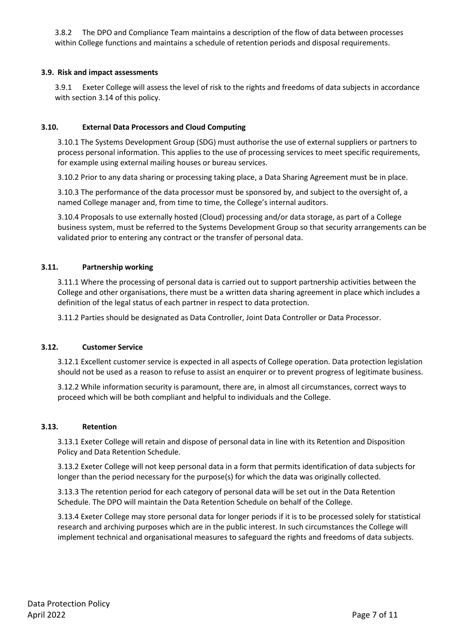3.8.2 The DPO and Compliance Team maintains a description of the flow of data between processes within College functions and maintains a schedule of retention periods and disposal requirements.

## **3.9. Risk and impact assessments**

3.9.1 Exeter College will assess the level of risk to the rights and freedoms of data subjects in accordance with section 3.14 of this policy.

## **3.10. External Data Processors and Cloud Computing**

3.10.1 The Systems Development Group (SDG) must authorise the use of external suppliers or partners to process personal information. This applies to the use of processing services to meet specific requirements, for example using external mailing houses or bureau services.

3.10.2 Prior to any data sharing or processing taking place, a Data Sharing Agreement must be in place.

3.10.3 The performance of the data processor must be sponsored by, and subject to the oversight of, a named College manager and, from time to time, the College's internal auditors.

3.10.4 Proposals to use externally hosted (Cloud) processing and/or data storage, as part of a College business system, must be referred to the Systems Development Group so that security arrangements can be validated prior to entering any contract or the transfer of personal data.

## **3.11. Partnership working**

3.11.1 Where the processing of personal data is carried out to support partnership activities between the College and other organisations, there must be a written data sharing agreement in place which includes a definition of the legal status of each partner in respect to data protection.

3.11.2 Parties should be designated as Data Controller, Joint Data Controller or Data Processor.

#### **3.12. Customer Service**

3.12.1 Excellent customer service is expected in all aspects of College operation. Data protection legislation should not be used as a reason to refuse to assist an enquirer or to prevent progress of legitimate business.

3.12.2 While information security is paramount, there are, in almost all circumstances, correct ways to proceed which will be both compliant and helpful to individuals and the College.

#### **3.13. Retention**

3.13.1 Exeter College will retain and dispose of personal data in line with its Retention and Disposition Policy and Data Retention Schedule.

3.13.2 Exeter College will not keep personal data in a form that permits identification of data subjects for longer than the period necessary for the purpose(s) for which the data was originally collected.

3.13.3 The retention period for each category of personal data will be set out in the Data Retention Schedule. The DPO will maintain the Data Retention Schedule on behalf of the College.

3.13.4 Exeter College may store personal data for longer periods if it is to be processed solely for statistical research and archiving purposes which are in the public interest. In such circumstances the College will implement technical and organisational measures to safeguard the rights and freedoms of data subjects.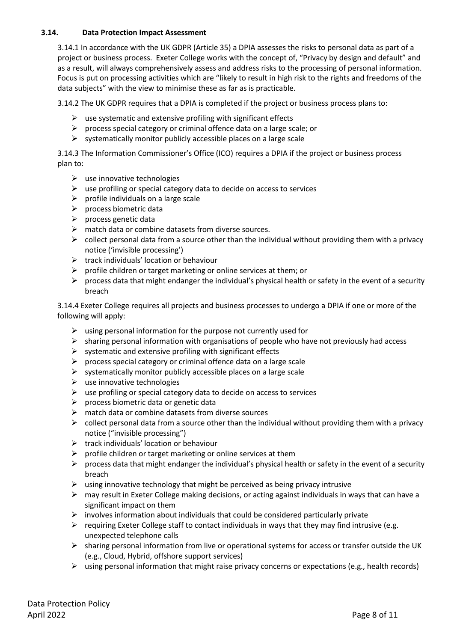## **3.14. Data Protection Impact Assessment**

3.14.1 In accordance with the UK GDPR (Article 35) a DPIA assesses the risks to personal data as part of a project or business process. Exeter College works with the concept of, "Privacy by design and default" and as a result, will always comprehensively assess and address risks to the processing of personal information. Focus is put on processing activities which are "likely to result in high risk to the rights and freedoms of the data subjects" with the view to minimise these as far as is practicable.

3.14.2 The UK GDPR requires that a DPIA is completed if the project or business process plans to:

- $\triangleright$  use systematic and extensive profiling with significant effects
- $\triangleright$  process special category or criminal offence data on a large scale; or
- $\triangleright$  systematically monitor publicly accessible places on a large scale

3.14.3 The Information Commissioner's Office (ICO) requires a DPIA if the project or business process plan to:

- $\triangleright$  use innovative technologies
- $\triangleright$  use profiling or special category data to decide on access to services
- $\triangleright$  profile individuals on a large scale
- $\triangleright$  process biometric data
- $\triangleright$  process genetic data
- $\triangleright$  match data or combine datasets from diverse sources.
- $\triangleright$  collect personal data from a source other than the individual without providing them with a privacy notice ('invisible processing')
- $\triangleright$  track individuals' location or behaviour
- $\triangleright$  profile children or target marketing or online services at them; or
- $\triangleright$  process data that might endanger the individual's physical health or safety in the event of a security breach

3.14.4 Exeter College requires all projects and business processes to undergo a DPIA if one or more of the following will apply:

- $\triangleright$  using personal information for the purpose not currently used for
- $\triangleright$  sharing personal information with organisations of people who have not previously had access
- $\triangleright$  systematic and extensive profiling with significant effects
- $\triangleright$  process special category or criminal offence data on a large scale
- $\triangleright$  systematically monitor publicly accessible places on a large scale
- $\triangleright$  use innovative technologies
- $\triangleright$  use profiling or special category data to decide on access to services
- $\triangleright$  process biometric data or genetic data
- $\triangleright$  match data or combine datasets from diverse sources
- $\triangleright$  collect personal data from a source other than the individual without providing them with a privacy notice ("invisible processing")
- $\triangleright$  track individuals' location or behaviour
- $\triangleright$  profile children or target marketing or online services at them
- $\triangleright$  process data that might endanger the individual's physical health or safety in the event of a security breach
- $\triangleright$  using innovative technology that might be perceived as being privacy intrusive
- $\triangleright$  may result in Exeter College making decisions, or acting against individuals in ways that can have a significant impact on them
- $\triangleright$  involves information about individuals that could be considered particularly private
- $\triangleright$  requiring Exeter College staff to contact individuals in ways that they may find intrusive (e.g. unexpected telephone calls
- $\triangleright$  sharing personal information from live or operational systems for access or transfer outside the UK (e.g., Cloud, Hybrid, offshore support services)
- $\triangleright$  using personal information that might raise privacy concerns or expectations (e.g., health records)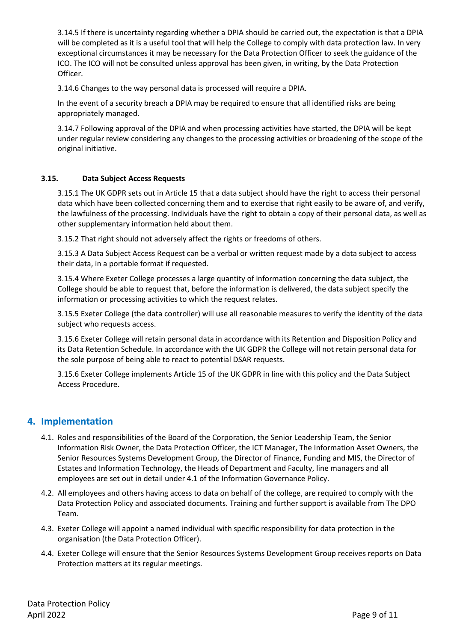3.14.5 If there is uncertainty regarding whether a DPIA should be carried out, the expectation is that a DPIA will be completed as it is a useful tool that will help the College to comply with data protection law. In very exceptional circumstances it may be necessary for the Data Protection Officer to seek the guidance of the ICO. The ICO will not be consulted unless approval has been given, in writing, by the Data Protection Officer.

3.14.6 Changes to the way personal data is processed will require a DPIA.

In the event of a security breach a DPIA may be required to ensure that all identified risks are being appropriately managed.

3.14.7 Following approval of the DPIA and when processing activities have started, the DPIA will be kept under regular review considering any changes to the processing activities or broadening of the scope of the original initiative.

# **3.15. Data Subject Access Requests**

3.15.1 The UK GDPR sets out in Article 15 that a data subject should have the right to access their personal data which have been collected concerning them and to exercise that right easily to be aware of, and verify, the lawfulness of the processing. Individuals have the right to obtain a copy of their personal data, as well as other supplementary information held about them.

3.15.2 That right should not adversely affect the rights or freedoms of others.

3.15.3 A Data Subject Access Request can be a verbal or written request made by a data subject to access their data, in a portable format if requested.

3.15.4 Where Exeter College processes a large quantity of information concerning the data subject, the College should be able to request that, before the information is delivered, the data subject specify the information or processing activities to which the request relates.

3.15.5 Exeter College (the data controller) will use all reasonable measures to verify the identity of the data subject who requests access.

3.15.6 Exeter College will retain personal data in accordance with its Retention and Disposition Policy and its Data Retention Schedule. In accordance with the UK GDPR the College will not retain personal data for the sole purpose of being able to react to potential DSAR requests.

3.15.6 Exeter College implements Article 15 of the UK GDPR in line with this policy and the Data Subject Access Procedure.

# **4. Implementation**

- 4.1. Roles and responsibilities of the Board of the Corporation, the Senior Leadership Team, the Senior Information Risk Owner, the Data Protection Officer, the ICT Manager, The Information Asset Owners, the Senior Resources Systems Development Group, the Director of Finance, Funding and MIS, the Director of Estates and Information Technology, the Heads of Department and Faculty, line managers and all employees are set out in detail under 4.1 of the Information Governance Policy.
- 4.2. All employees and others having access to data on behalf of the college, are required to comply with the Data Protection Policy and associated documents. Training and further support is available from The DPO Team.
- 4.3. Exeter College will appoint a named individual with specific responsibility for data protection in the organisation (the Data Protection Officer).
- 4.4. Exeter College will ensure that the Senior Resources Systems Development Group receives reports on Data Protection matters at its regular meetings.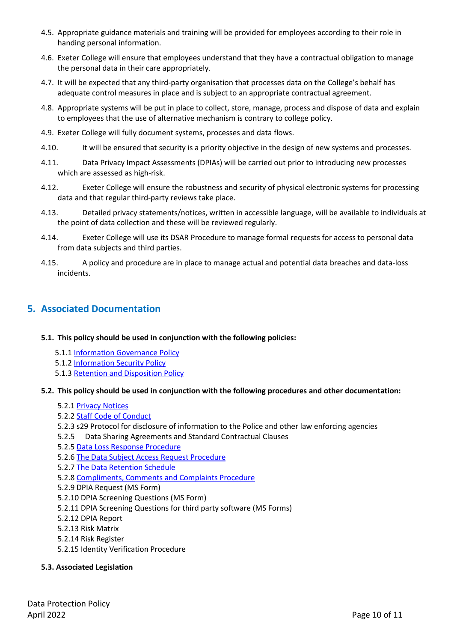- 4.5. Appropriate guidance materials and training will be provided for employees according to their role in handing personal information.
- 4.6. Exeter College will ensure that employees understand that they have a contractual obligation to manage the personal data in their care appropriately.
- 4.7. It will be expected that any third-party organisation that processes data on the College's behalf has adequate control measures in place and is subject to an appropriate contractual agreement.
- 4.8. Appropriate systems will be put in place to collect, store, manage, process and dispose of data and explain to employees that the use of alternative mechanism is contrary to college policy.
- 4.9. Exeter College will fully document systems, processes and data flows.
- 4.10. It will be ensured that security is a priority objective in the design of new systems and processes.
- 4.11. Data Privacy Impact Assessments (DPIAs) will be carried out prior to introducing new processes which are assessed as high-risk.
- 4.12. Exeter College will ensure the robustness and security of physical electronic systems for processing data and that regular third-party reviews take place.
- 4.13. Detailed privacy statements/notices, written in accessible language, will be available to individuals at the point of data collection and these will be reviewed regularly.
- 4.14. Exeter College will use its DSAR Procedure to manage formal requests for access to personal data from data subjects and third parties.
- 4.15. A policy and procedure are in place to manage actual and potential data breaches and data-loss incidents.

# **5. Associated Documentation**

- **5.1. This policy should be used in conjunction with the following policies:** 
	- 5.1.1 [Information Governance Policy](https://adexecollacuk.sharepoint.com/:b:/r/sites/LeadershipHub/Policy%20PDFs/Information%20Governance%20Policy.pdf?csf=1&web=1&e=HldyOq)
	- 5.1.2 [Information Security Policy](https://adexecollacuk.sharepoint.com/:b:/r/sites/LeadershipHub/Policy%20PDFs/Information%20Security%20Policy.pdf?csf=1&web=1&e=JJaj1D)
	- 5.1.3 [Retention and Disposition Policy](https://adexecollacuk.sharepoint.com/sites/LeadershipHub/Policy%20PDFs/Forms/All.aspx?id=%2Fsites%2FLeadershipHub%2FPolicy%20PDFs%2FRetention%20and%20Disposition%20Policy%2Epdf&parent=%2Fsites%2FLeadershipHub%2FPolicy%20PDFs)

#### **5.2. This policy should be used in conjunction with the following procedures and other documentation:**

- 5.2.1 [Privacy](https://exe-coll.ac.uk/dataprotection/) Notices
- 5.2.[2 Staff Code of Conduct](https://adexecollacuk.sharepoint.com/:w:/r/sites/hr/_layouts/15/Doc.aspx?sourcedoc=%7B8B8561AD-ECC5-4592-A6D3-910E6CF3CC13%7D&file=Staff%20Code%20of%20Conduct%20March%202017%20-%20final.docx&action=default&mobileredirect=true&DefaultItemOpen=1)
- 5.2.3 s29 Protocol for disclosure of information to the Police and other law enforcing agencies
- 5.2.5 Data Sharing Agreements and Standard Contractual Clauses
- 5.2.[5 Data Loss Response](https://adexecollacuk.sharepoint.com/:b:/r/sites/dataprotection/Shared%20Documents/PDFs%20of%20Master%20Copies%20(Policies,%20Procedures%20and%20Protocols)/Data%20Loss%20Response%20Procedure.pdf?csf=1&web=1&e=hrSmn3) Procedure
- 5.2.6 The Data [Subject Access Request Procedure](https://adexecollacuk.sharepoint.com/:b:/r/sites/dataprotection/Shared%20Documents/PDFs%20of%20Master%20Copies%20(Policies,%20Procedures%20and%20Protocols)/Data%20Subject%20Access%20Request%20Procedure.pdf?csf=1&web=1&e=jEJC4O)
- 5.2.[7 The Data Retention Schedule](https://adexecollacuk.sharepoint.com/:b:/r/sites/dataprotection/Shared%20Documents/PDFs%20of%20Master%20Copies%20(Policies,%20Procedures%20and%20Protocols)/Data%20Retention%20Schedule.pdf?csf=1&web=1&e=6TLadz)
- 5.2.[8 Compliments, Comments and Complaints Procedure](https://adexecollacuk.sharepoint.com/:b:/r/sites/LeadershipHub/Compliments%20Comments%20and%20Complaints/Compliments-Comments-Complaints-Procedure.pdf?csf=1&web=1&e=c9nfu4)
- 5.2.9 DPIA Request (MS Form)
- 5.2.10 DPIA Screening Questions (MS Form)
- 5.2.11 DPIA Screening Questions for third party software (MS Forms)
- 5.2.12 DPIA Report
- 5.2.13 Risk Matrix
- 5.2.14 Risk Register
- 5.2.15 Identity Verification Procedure

# **5.3. Associated Legislation**